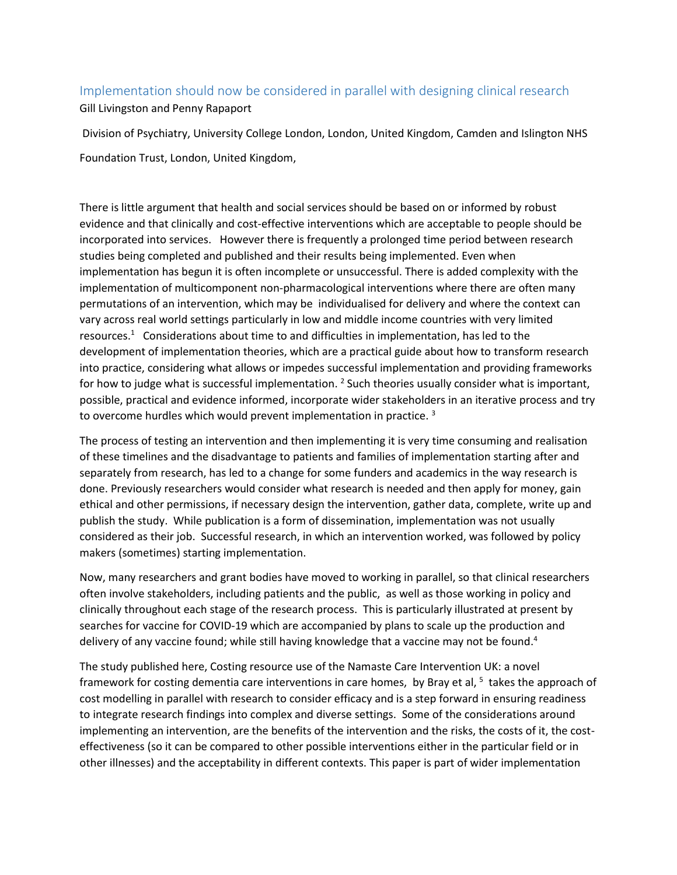## Implementation should now be considered in parallel with designing clinical research

Gill Livingston and Penny Rapaport

Division of Psychiatry, University College London, London, United Kingdom, Camden and Islington NHS Foundation Trust, London, United Kingdom,

There is little argument that health and social services should be based on or informed by robust evidence and that clinically and cost-effective interventions which are acceptable to people should be incorporated into services. However there is frequently a prolonged time period between research studies being completed and published and their results being implemented. Even when implementation has begun it is often incomplete or unsuccessful. There is added complexity with the implementation of multicomponent non-pharmacological interventions where there are often many permutations of an intervention, which may be individualised for delivery and where the context can vary across real world settings particularly in low and middle income countries with very limited resources.<sup>1</sup> Considerations about time to and difficulties in implementation, has led to the development of implementation theories, which are a practical guide about how to transform research into practice, considering what allows or impedes successful implementation and providing frameworks for how to judge what is successful implementation. <sup>2</sup> Such theories usually consider what is important, possible, practical and evidence informed, incorporate wider stakeholders in an iterative process and try to overcome hurdles which would prevent implementation in practice.<sup>3</sup>

The process of testing an intervention and then implementing it is very time consuming and realisation of these timelines and the disadvantage to patients and families of implementation starting after and separately from research, has led to a change for some funders and academics in the way research is done. Previously researchers would consider what research is needed and then apply for money, gain ethical and other permissions, if necessary design the intervention, gather data, complete, write up and publish the study. While publication is a form of dissemination, implementation was not usually considered as their job. Successful research, in which an intervention worked, was followed by policy makers (sometimes) starting implementation.

Now, many researchers and grant bodies have moved to working in parallel, so that clinical researchers often involve stakeholders, including patients and the public, as well as those working in policy and clinically throughout each stage of the research process. This is particularly illustrated at present by searches for vaccine for COVID-19 which are accompanied by plans to scale up the production and delivery of any vaccine found; while still having knowledge that a vaccine may not be found.<sup>4</sup>

The study published here, Costing resource use of the Namaste Care Intervention UK: a novel framework for costing dementia care interventions in care homes, by Bray et al, <sup>5</sup> takes the approach of cost modelling in parallel with research to consider efficacy and is a step forward in ensuring readiness to integrate research findings into complex and diverse settings. Some of the considerations around implementing an intervention, are the benefits of the intervention and the risks, the costs of it, the costeffectiveness (so it can be compared to other possible interventions either in the particular field or in other illnesses) and the acceptability in different contexts. This paper is part of wider implementation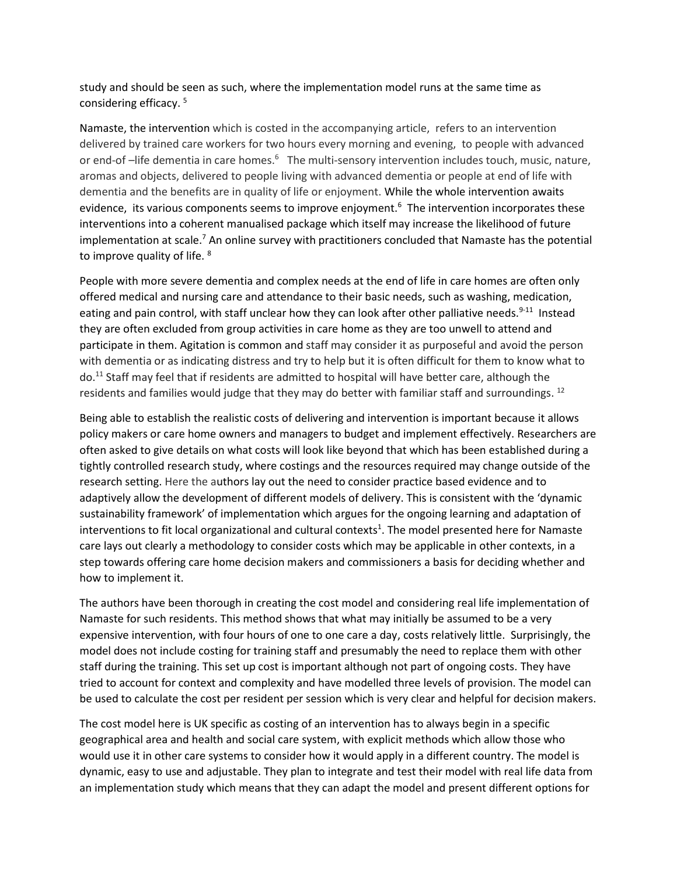study and should be seen as such, where the implementation model runs at the same time as considering efficacy. 5

Namaste, the intervention which is costed in the accompanying article, refers to an intervention delivered by trained care workers for two hours every morning and evening, to people with advanced or end-of –life dementia in care homes.<sup>6</sup> The multi-sensory intervention includes touch, music, nature, aromas and objects, delivered to people living with advanced dementia or people at end of life with dementia and the benefits are in quality of life or enjoyment. While the whole intervention awaits evidence, its various components seems to improve enjoyment.<sup>6</sup> The intervention incorporates these interventions into a coherent manualised package which itself may increase the likelihood of future implementation at scale.<sup>7</sup> An online survey with practitioners concluded that Namaste has the potential to improve quality of life. <sup>8</sup>

People with more severe dementia and complex needs at the end of life in care homes are often only offered medical and nursing care and attendance to their basic needs, such as washing, medication, eating and pain control, with staff unclear how they can look after other palliative needs.<sup>9-11</sup> Instead they are often excluded from group activities in care home as they are too unwell to attend and participate in them. Agitation is common and staff may consider it as purposeful and avoid the person with dementia or as indicating distress and try to help but it is often difficult for them to know what to do. <sup>11</sup> Staff may feel that if residents are admitted to hospital will have better care, although the residents and families would judge that they may do better with familiar staff and surroundings. <sup>12</sup>

Being able to establish the realistic costs of delivering and intervention is important because it allows policy makers or care home owners and managers to budget and implement effectively. Researchers are often asked to give details on what costs will look like beyond that which has been established during a tightly controlled research study, where costings and the resources required may change outside of the research setting. Here the authors lay out the need to consider practice based evidence and to adaptively allow the development of different models of delivery. This is consistent with the 'dynamic sustainability framework' of implementation which argues for the ongoing learning and adaptation of interventions to fit local organizational and cultural contexts<sup>1</sup>. The model presented here for Namaste care lays out clearly a methodology to consider costs which may be applicable in other contexts, in a step towards offering care home decision makers and commissioners a basis for deciding whether and how to implement it.

The authors have been thorough in creating the cost model and considering real life implementation of Namaste for such residents. This method shows that what may initially be assumed to be a very expensive intervention, with four hours of one to one care a day, costs relatively little. Surprisingly, the model does not include costing for training staff and presumably the need to replace them with other staff during the training. This set up cost is important although not part of ongoing costs. They have tried to account for context and complexity and have modelled three levels of provision. The model can be used to calculate the cost per resident per session which is very clear and helpful for decision makers.

The cost model here is UK specific as costing of an intervention has to always begin in a specific geographical area and health and social care system, with explicit methods which allow those who would use it in other care systems to consider how it would apply in a different country. The model is dynamic, easy to use and adjustable. They plan to integrate and test their model with real life data from an implementation study which means that they can adapt the model and present different options for